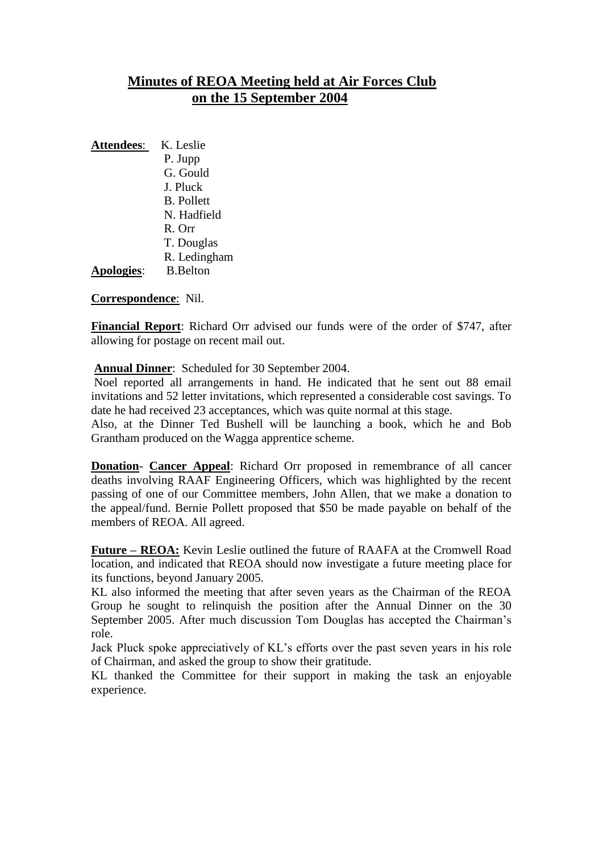## **Minutes of REOA Meeting held at Air Forces Club on the 15 September 2004**

| <b>Attendees:</b> | K. Leslie         |
|-------------------|-------------------|
|                   | P. Jupp           |
|                   | G. Gould          |
|                   | J. Pluck          |
|                   | <b>B.</b> Pollett |
|                   | N. Hadfield       |
|                   | $R$ . Orr         |
|                   | T. Douglas        |

R. Ledingham

**Apologies**: B.Belton

**Correspondence**: Nil.

**Financial Report**: Richard Orr advised our funds were of the order of \$747, after allowing for postage on recent mail out.

**Annual Dinner**: Scheduled for 30 September 2004.

Noel reported all arrangements in hand. He indicated that he sent out 88 email invitations and 52 letter invitations, which represented a considerable cost savings. To date he had received 23 acceptances, which was quite normal at this stage.

Also, at the Dinner Ted Bushell will be launching a book, which he and Bob Grantham produced on the Wagga apprentice scheme.

**Donation**- **Cancer Appeal**: Richard Orr proposed in remembrance of all cancer deaths involving RAAF Engineering Officers, which was highlighted by the recent passing of one of our Committee members, John Allen, that we make a donation to the appeal/fund. Bernie Pollett proposed that \$50 be made payable on behalf of the members of REOA. All agreed.

**Future – REOA:** Kevin Leslie outlined the future of RAAFA at the Cromwell Road location, and indicated that REOA should now investigate a future meeting place for its functions, beyond January 2005.

KL also informed the meeting that after seven years as the Chairman of the REOA Group he sought to relinquish the position after the Annual Dinner on the 30 September 2005. After much discussion Tom Douglas has accepted the Chairman's role.

Jack Pluck spoke appreciatively of KL's efforts over the past seven years in his role of Chairman, and asked the group to show their gratitude.

KL thanked the Committee for their support in making the task an enjoyable experience.